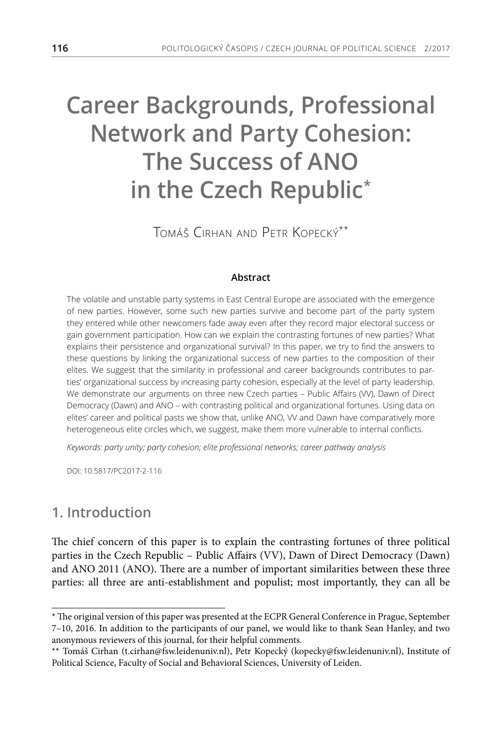# **Career Backgrounds, Professional Network and Party Cohesion: The Success of ANO in the Czech Republic\***

Tomáš Cirhan and Petr Kopecký\*\*

#### **Abstract**

The volatile and unstable party systems in East Central Europe are associated with the emergence of new parties. However, some such new parties survive and become part of the party system they entered while other newcomers fade away even after they record major electoral success or gain government participation. How can we explain the contrasting fortunes of new parties? What explains their persistence and organizational survival? In this paper, we try to find the answers to these questions by linking the organizational success of new parties to the composition of their elites. We suggest that the similarity in professional and career backgrounds contributes to parties' organizational success by increasing party cohesion, especially at the level of party leadership. We demonstrate our arguments on three new Czech parties – Public Affairs (VV), Dawn of Direct Democracy (Dawn) and ANO – with contrasting political and organizational fortunes. Using data on elites' career and political pasts we show that, unlike ANO, W and Dawn have comparatively more heterogeneous elite circles which, we suggest, make them more vulnerable to internal conflicts.

*Keywords: party unity; party cohesion; elite professional networks; career pathway analysis*

DOI: 10.5817/PC2017-2-116

# **1. Introduction**

The chief concern of this paper is to explain the contrasting fortunes of three political parties in the Czech Republic – Public Affairs (VV), Dawn of Direct Democracy (Dawn) and ANO 2011 (ANO). There are a number of important similarities between these three parties: all three are anti-establishment and populist; most importantly, they can all be

<sup>\*</sup> The original version of this paper was presented at the ECPR General Conference in Prague, September 7–10, 2016. In addition to the participants of our panel, we would like to thank Sean Hanley, and two anonymous reviewers of this journal, for their helpful comments.

<sup>\*\*</sup> Tomáš Cirhan (t.cirhan@fsw.leidenuniv.nl), Petr Kopecký (kopecky@fsw.leidenuniv.nl), Institute of Political Science, Faculty of Social and Behavioral Sciences, University of Leiden.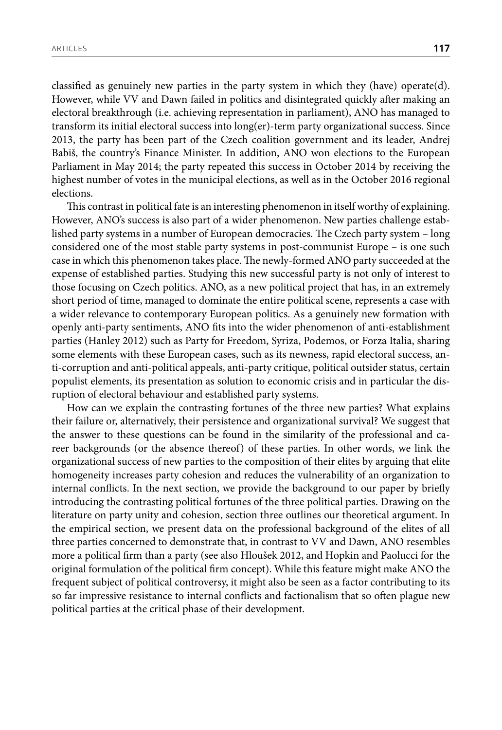classified as genuinely new parties in the party system in which they (have) operate(d). However, while VV and Dawn failed in politics and disintegrated quickly after making an electoral breakthrough (i.e. achieving representation in parliament), ANO has managed to transform its initial electoral success into long(er)-term party organizational success. Since 2013, the party has been part of the Czech coalition government and its leader, Andrej Babiš, the country's Finance Minister. In addition, ANO won elections to the European Parliament in May 2014; the party repeated this success in October 2014 by receiving the highest number of votes in the municipal elections, as well as in the October 2016 regional elections.

This contrast in political fate is an interesting phenomenon in itself worthy of explaining. However, ANO's success is also part of a wider phenomenon. New parties challenge established party systems in a number of European democracies. The Czech party system – long considered one of the most stable party systems in post-communist Europe – is one such case in which this phenomenon takes place. The newly-formed ANO party succeeded at the expense of established parties. Studying this new successful party is not only of interest to those focusing on Czech politics. ANO, as a new political project that has, in an extremely short period of time, managed to dominate the entire political scene, represents a case with a wider relevance to contemporary European politics. As a genuinely new formation with openly anti-party sentiments, ANO fits into the wider phenomenon of anti-establishment parties (Hanley 2012) such as Party for Freedom, Syriza, Podemos, or Forza Italia, sharing some elements with these European cases, such as its newness, rapid electoral success, anti-corruption and anti-political appeals, anti-party critique, political outsider status, certain populist elements, its presentation as solution to economic crisis and in particular the disruption of electoral behaviour and established party systems.

How can we explain the contrasting fortunes of the three new parties? What explains their failure or, alternatively, their persistence and organizational survival? We suggest that the answer to these questions can be found in the similarity of the professional and career backgrounds (or the absence thereof) of these parties. In other words, we link the organizational success of new parties to the composition of their elites by arguing that elite homogeneity increases party cohesion and reduces the vulnerability of an organization to internal conflicts. In the next section, we provide the background to our paper by briefly introducing the contrasting political fortunes of the three political parties. Drawing on the literature on party unity and cohesion, section three outlines our theoretical argument. In the empirical section, we present data on the professional background of the elites of all three parties concerned to demonstrate that, in contrast to VV and Dawn, ANO resembles more a political firm than a party (see also Hloušek 2012, and Hopkin and Paolucci for the original formulation of the political firm concept). While this feature might make ANO the frequent subject of political controversy, it might also be seen as a factor contributing to its so far impressive resistance to internal conflicts and factionalism that so often plague new political parties at the critical phase of their development.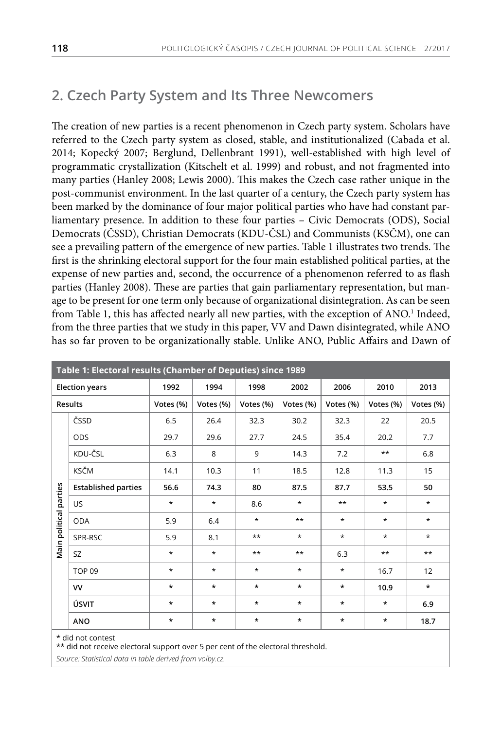# **2. Czech Party System and Its Three Newcomers**

The creation of new parties is a recent phenomenon in Czech party system. Scholars have referred to the Czech party system as closed, stable, and institutionalized (Cabada et al. 2014; Kopecký 2007; Berglund, Dellenbrant 1991), well-established with high level of programmatic crystallization (Kitschelt et al. 1999) and robust, and not fragmented into many parties (Hanley 2008; Lewis 2000). This makes the Czech case rather unique in the post-communist environment. In the last quarter of a century, the Czech party system has been marked by the dominance of four major political parties who have had constant parliamentary presence. In addition to these four parties – Civic Democrats (ODS), Social Democrats (ČSSD), Christian Democrats (KDU-ČSL) and Communists (KSČM), one can see a prevailing pattern of the emergence of new parties. Table 1 illustrates two trends. The first is the shrinking electoral support for the four main established political parties, at the expense of new parties and, second, the occurrence of a phenomenon referred to as flash parties (Hanley 2008). These are parties that gain parliamentary representation, but manage to be present for one term only because of organizational disintegration. As can be seen from Table 1, this has affected nearly all new parties, with the exception of ANO.<sup>1</sup> Indeed, from the three parties that we study in this paper, VV and Dawn disintegrated, while ANO has so far proven to be organizationally stable. Unlike ANO, Public Affairs and Dawn of

| Table 1: Electoral results (Chamber of Deputies) since 1989 |                            |           |           |           |           |           |           |           |
|-------------------------------------------------------------|----------------------------|-----------|-----------|-----------|-----------|-----------|-----------|-----------|
| <b>Election years</b>                                       |                            | 1992      | 1994      | 1998      | 2002      | 2006      | 2010      | 2013      |
| <b>Results</b>                                              |                            | Votes (%) | Votes (%) | Votes (%) | Votes (%) | Votes (%) | Votes (%) | Votes (%) |
|                                                             | ČSSD                       | 6.5       | 26.4      | 32.3      | 30.2      | 32.3      | 22        | 20.5      |
|                                                             | <b>ODS</b>                 | 29.7      | 29.6      | 27.7      | 24.5      | 35.4      | 20.2      | 7.7       |
|                                                             | KDU-ČSL                    | 6.3       | 8         | 9         | 14.3      | 7.2       | $***$     | 6.8       |
|                                                             | KSČM                       | 14.1      | 10.3      | 11        | 18.5      | 12.8      | 11.3      | 15        |
| parties                                                     | <b>Established parties</b> | 56.6      | 74.3      | 80        | 87.5      | 87.7      | 53.5      | 50        |
|                                                             | <b>US</b>                  | $\star$   | $\star$   | 8.6       | $\star$   | $***$     | $\star$   | $\star$   |
|                                                             | <b>ODA</b>                 | 5.9       | 6.4       | $\star$   | $***$     | $\star$   | $\star$   | $\star$   |
| Main political                                              | SPR-RSC                    | 5.9       | 8.1       | $**$      | $\star$   | $\star$   | $\star$   | $\star$   |
|                                                             | <b>SZ</b>                  | $\star$   | $\star$   | $***$     | $***$     | 6.3       | $***$     | $***$     |
|                                                             | TOP <sub>09</sub>          | *         | $\star$   | $\star$   | $\star$   | $\star$   | 16.7      | 12        |
|                                                             | <b>VV</b>                  | $\star$   | $\star$   | $\star$   | $\star$   | $\star$   | 10.9      | $\star$   |
|                                                             | ÚSVIT                      | $\star$   | $\star$   | $\star$   | $\star$   | $\star$   | $\star$   | 6.9       |
|                                                             | ANO                        | *         | $\star$   | $\star$   | $^\star$  | $\star$   | $\star$   | 18.7      |
|                                                             | * did not contest          |           |           |           |           |           |           |           |

\*\* did not receive electoral support over 5 per cent of the electoral threshold.

*Source: Statistical data in table derived from volby.cz.*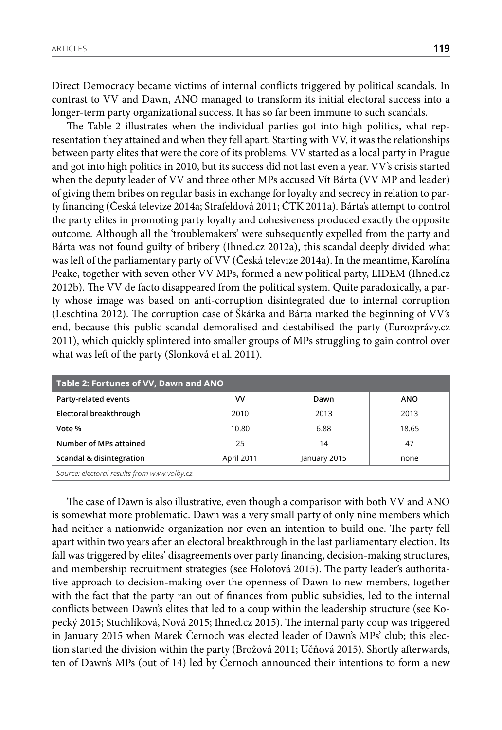Direct Democracy became victims of internal conflicts triggered by political scandals. In contrast to VV and Dawn, ANO managed to transform its initial electoral success into a longer-term party organizational success. It has so far been immune to such scandals.

The Table 2 illustrates when the individual parties got into high politics, what representation they attained and when they fell apart. Starting with VV, it was the relationships between party elites that were the core of its problems. VV started as a local party in Prague and got into high politics in 2010, but its success did not last even a year. VV's crisis started when the deputy leader of VV and three other MPs accused Vít Bárta (VV MP and leader) of giving them bribes on regular basis in exchange for loyalty and secrecy in relation to party financing (Česká televize 2014a; Strafeldová 2011; ČTK 2011a). Bárta's attempt to control the party elites in promoting party loyalty and cohesiveness produced exactly the opposite outcome. Although all the 'troublemakers' were subsequently expelled from the party and Bárta was not found guilty of bribery (Ihned.cz 2012a), this scandal deeply divided what was left of the parliamentary party of VV (Česká televize 2014a). In the meantime, Karolína Peake, together with seven other VV MPs, formed a new political party, LIDEM (Ihned.cz 2012b). The VV de facto disappeared from the political system. Quite paradoxically, a party whose image was based on anti-corruption disintegrated due to internal corruption (Leschtina 2012). The corruption case of Škárka and Bárta marked the beginning of VV's end, because this public scandal demoralised and destabilised the party (Eurozprávy.cz 2011), which quickly splintered into smaller groups of MPs struggling to gain control over what was left of the party (Slonková et al. 2011).

| Table 2: Fortunes of VV, Dawn and ANO                          |       |      |            |  |
|----------------------------------------------------------------|-------|------|------------|--|
| Party-related events                                           | vv    | Dawn | <b>ANO</b> |  |
| Electoral breakthrough                                         | 2010  | 2013 | 2013       |  |
| Vote %                                                         | 10.80 | 6.88 | 18.65      |  |
| Number of MPs attained                                         | 25    | 14   | 47         |  |
| Scandal & disintegration<br>April 2011<br>January 2015<br>none |       |      |            |  |
| Source: electoral results from www.volby.cz.                   |       |      |            |  |

The case of Dawn is also illustrative, even though a comparison with both VV and ANO is somewhat more problematic. Dawn was a very small party of only nine members which had neither a nationwide organization nor even an intention to build one. The party fell apart within two years after an electoral breakthrough in the last parliamentary election. Its fall was triggered by elites' disagreements over party financing, decision-making structures, and membership recruitment strategies (see Holotová 2015). The party leader's authoritative approach to decision-making over the openness of Dawn to new members, together with the fact that the party ran out of finances from public subsidies, led to the internal conflicts between Dawn's elites that led to a coup within the leadership structure (see Kopecký 2015; Stuchlíková, Nová 2015; Ihned.cz 2015). The internal party coup was triggered in January 2015 when Marek Černoch was elected leader of Dawn's MPs' club; this election started the division within the party (Brožová 2011; Učňová 2015). Shortly afterwards, ten of Dawn's MPs (out of 14) led by Černoch announced their intentions to form a new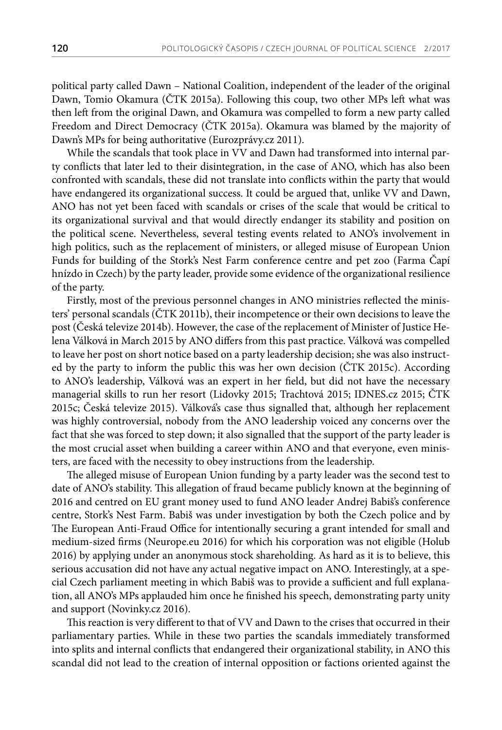political party called Dawn – National Coalition, independent of the leader of the original Dawn, Tomio Okamura (ČTK 2015a). Following this coup, two other MPs left what was then left from the original Dawn, and Okamura was compelled to form a new party called Freedom and Direct Democracy (ČTK 2015a). Okamura was blamed by the majority of Dawn's MPs for being authoritative (Eurozprávy.cz 2011).

While the scandals that took place in VV and Dawn had transformed into internal party conflicts that later led to their disintegration, in the case of ANO, which has also been confronted with scandals, these did not translate into conflicts within the party that would have endangered its organizational success. It could be argued that, unlike VV and Dawn, ANO has not yet been faced with scandals or crises of the scale that would be critical to its organizational survival and that would directly endanger its stability and position on the political scene. Nevertheless, several testing events related to ANO's involvement in high politics, such as the replacement of ministers, or alleged misuse of European Union Funds for building of the Stork's Nest Farm conference centre and pet zoo (Farma Čapí hnízdo in Czech) by the party leader, provide some evidence of the organizational resilience of the party.

Firstly, most of the previous personnel changes in ANO ministries reflected the ministers' personal scandals (ČTK 2011b), their incompetence or their own decisions to leave the post (Česká televize 2014b). However, the case of the replacement of Minister of Justice Helena Válková in March 2015 by ANO differs from this past practice. Válková was compelled to leave her post on short notice based on a party leadership decision; she was also instructed by the party to inform the public this was her own decision (ČTK 2015c). According to ANO's leadership, Válková was an expert in her field, but did not have the necessary managerial skills to run her resort (Lidovky 2015; Trachtová 2015; IDNES.cz 2015; ČTK 2015c; Česká televize 2015). Válková's case thus signalled that, although her replacement was highly controversial, nobody from the ANO leadership voiced any concerns over the fact that she was forced to step down; it also signalled that the support of the party leader is the most crucial asset when building a career within ANO and that everyone, even ministers, are faced with the necessity to obey instructions from the leadership.

The alleged misuse of European Union funding by a party leader was the second test to date of ANO's stability. This allegation of fraud became publicly known at the beginning of 2016 and centred on EU grant money used to fund ANO leader Andrej Babiš's conference centre, Stork's Nest Farm. Babiš was under investigation by both the Czech police and by The European Anti-Fraud Office for intentionally securing a grant intended for small and medium-sized firms (Neurope.eu 2016) for which his corporation was not eligible (Holub 2016) by applying under an anonymous stock shareholding. As hard as it is to believe, this serious accusation did not have any actual negative impact on ANO. Interestingly, at a special Czech parliament meeting in which Babiš was to provide a sufficient and full explanation, all ANO's MPs applauded him once he finished his speech, demonstrating party unity and support (Novinky.cz 2016).

This reaction is very different to that of VV and Dawn to the crises that occurred in their parliamentary parties. While in these two parties the scandals immediately transformed into splits and internal conflicts that endangered their organizational stability, in ANO this scandal did not lead to the creation of internal opposition or factions oriented against the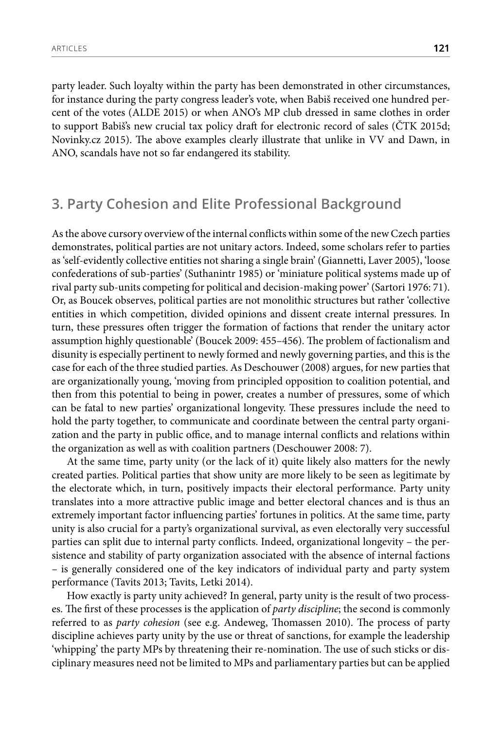party leader. Such loyalty within the party has been demonstrated in other circumstances, for instance during the party congress leader's vote, when Babiš received one hundred percent of the votes (ALDE 2015) or when ANO's MP club dressed in same clothes in order to support Babiš's new crucial tax policy draft for electronic record of sales (ČTK 2015d; Novinky.cz 2015). The above examples clearly illustrate that unlike in VV and Dawn, in ANO, scandals have not so far endangered its stability.

# **3. Party Cohesion and Elite Professional Background**

As the above cursory overview of the internal conflicts within some of the new Czech parties demonstrates, political parties are not unitary actors. Indeed, some scholars refer to parties as 'self-evidently collective entities not sharing a single brain' (Giannetti, Laver 2005), 'loose confederations of sub-parties' (Suthanintr 1985) or 'miniature political systems made up of rival party sub-units competing for political and decision-making power' (Sartori 1976: 71). Or, as Boucek observes, political parties are not monolithic structures but rather 'collective entities in which competition, divided opinions and dissent create internal pressures. In turn, these pressures often trigger the formation of factions that render the unitary actor assumption highly questionable' (Boucek 2009: 455–456). The problem of factionalism and disunity is especially pertinent to newly formed and newly governing parties, and this is the case for each of the three studied parties. As Deschouwer (2008) argues, for new parties that are organizationally young, 'moving from principled opposition to coalition potential, and then from this potential to being in power, creates a number of pressures, some of which can be fatal to new parties' organizational longevity. These pressures include the need to hold the party together, to communicate and coordinate between the central party organization and the party in public office, and to manage internal conflicts and relations within the organization as well as with coalition partners (Deschouwer 2008: 7).

At the same time, party unity (or the lack of it) quite likely also matters for the newly created parties. Political parties that show unity are more likely to be seen as legitimate by the electorate which, in turn, positively impacts their electoral performance. Party unity translates into a more attractive public image and better electoral chances and is thus an extremely important factor influencing parties' fortunes in politics. At the same time, party unity is also crucial for a party's organizational survival, as even electorally very successful parties can split due to internal party conflicts. Indeed, organizational longevity – the persistence and stability of party organization associated with the absence of internal factions – is generally considered one of the key indicators of individual party and party system performance (Tavits 2013; Tavits, Letki 2014).

How exactly is party unity achieved? In general, party unity is the result of two processes. The first of these processes is the application of *party discipline*; the second is commonly referred to as *party cohesion* (see e.g. Andeweg, Thomassen 2010). The process of party discipline achieves party unity by the use or threat of sanctions, for example the leadership 'whipping' the party MPs by threatening their re-nomination. The use of such sticks or disciplinary measures need not be limited to MPs and parliamentary parties but can be applied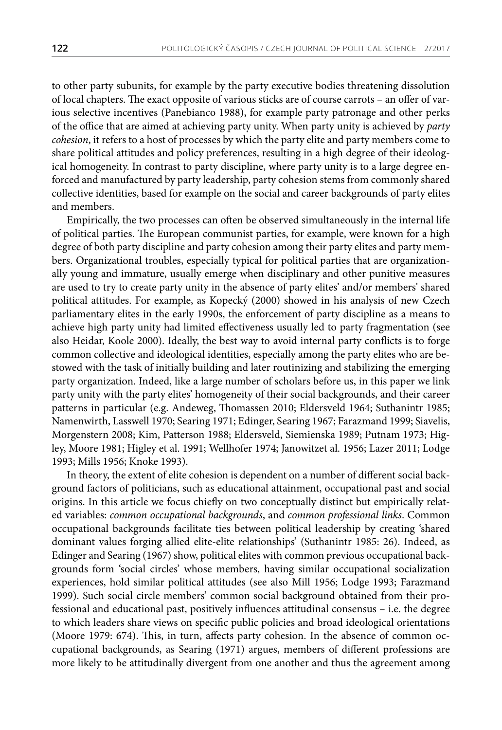to other party subunits, for example by the party executive bodies threatening dissolution of local chapters. The exact opposite of various sticks are of course carrots – an offer of various selective incentives (Panebianco 1988), for example party patronage and other perks of the office that are aimed at achieving party unity. When party unity is achieved by *party cohesion*, it refers to a host of processes by which the party elite and party members come to share political attitudes and policy preferences, resulting in a high degree of their ideological homogeneity. In contrast to party discipline, where party unity is to a large degree enforced and manufactured by party leadership, party cohesion stems from commonly shared collective identities, based for example on the social and career backgrounds of party elites and members.

Empirically, the two processes can often be observed simultaneously in the internal life of political parties. The European communist parties, for example, were known for a high degree of both party discipline and party cohesion among their party elites and party members. Organizational troubles, especially typical for political parties that are organizationally young and immature, usually emerge when disciplinary and other punitive measures are used to try to create party unity in the absence of party elites' and/or members' shared political attitudes. For example, as Kopecký (2000) showed in his analysis of new Czech parliamentary elites in the early 1990s, the enforcement of party discipline as a means to achieve high party unity had limited effectiveness usually led to party fragmentation (see also Heidar, Koole 2000). Ideally, the best way to avoid internal party conflicts is to forge common collective and ideological identities, especially among the party elites who are bestowed with the task of initially building and later routinizing and stabilizing the emerging party organization. Indeed, like a large number of scholars before us, in this paper we link party unity with the party elites' homogeneity of their social backgrounds, and their career patterns in particular (e.g. Andeweg, Thomassen 2010; Eldersveld 1964; Suthanintr 1985; Namenwirth, Lasswell 1970; Searing 1971; Edinger, Searing 1967; Farazmand 1999; Siavelis, Morgenstern 2008; Kim, Patterson 1988; Eldersveld, Siemienska 1989; Putnam 1973; Higley, Moore 1981; Higley et al. 1991; Wellhofer 1974; Janowitzet al. 1956; Lazer 2011; Lodge 1993; Mills 1956; Knoke 1993).

In theory, the extent of elite cohesion is dependent on a number of different social background factors of politicians, such as educational attainment, occupational past and social origins. In this article we focus chiefly on two conceptually distinct but empirically related variables: *common occupational backgrounds*, and *common professional links*. Common occupational backgrounds facilitate ties between political leadership by creating 'shared dominant values forging allied elite-elite relationships' (Suthanintr 1985: 26). Indeed, as Edinger and Searing (1967) show, political elites with common previous occupational backgrounds form 'social circles' whose members, having similar occupational socialization experiences, hold similar political attitudes (see also Mill 1956; Lodge 1993; Farazmand 1999). Such social circle members' common social background obtained from their professional and educational past, positively influences attitudinal consensus – i.e. the degree to which leaders share views on specific public policies and broad ideological orientations (Moore 1979: 674). This, in turn, affects party cohesion. In the absence of common occupational backgrounds, as Searing (1971) argues, members of different professions are more likely to be attitudinally divergent from one another and thus the agreement among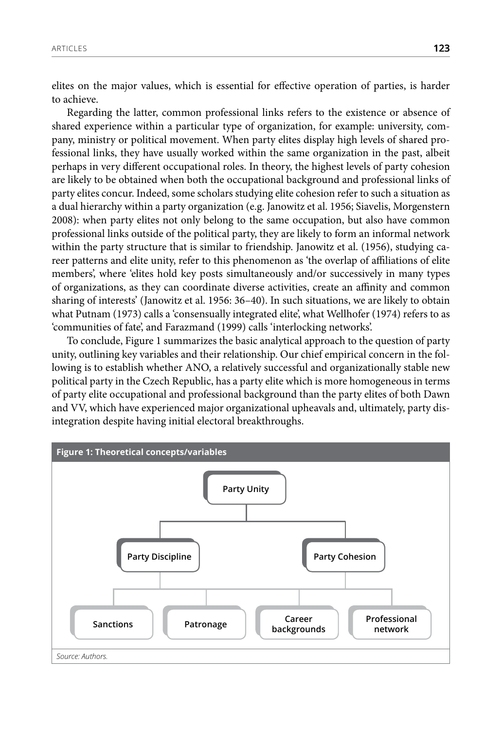elites on the major values, which is essential for effective operation of parties, is harder to achieve.

Regarding the latter, common professional links refers to the existence or absence of shared experience within a particular type of organization, for example: university, company, ministry or political movement. When party elites display high levels of shared professional links, they have usually worked within the same organization in the past, albeit perhaps in very different occupational roles. In theory, the highest levels of party cohesion are likely to be obtained when both the occupational background and professional links of party elites concur. Indeed, some scholars studying elite cohesion refer to such a situation as a dual hierarchy within a party organization (e.g. Janowitz et al. 1956; Siavelis, Morgenstern 2008): when party elites not only belong to the same occupation, but also have common professional links outside of the political party, they are likely to form an informal network within the party structure that is similar to friendship. Janowitz et al. (1956), studying career patterns and elite unity, refer to this phenomenon as 'the overlap of affiliations of elite members', where 'elites hold key posts simultaneously and/or successively in many types of organizations, as they can coordinate diverse activities, create an affinity and common sharing of interests' (Janowitz et al. 1956: 36–40). In such situations, we are likely to obtain what Putnam (1973) calls a 'consensually integrated elite', what Wellhofer (1974) refers to as 'communities of fate', and Farazmand (1999) calls 'interlocking networks'.

To conclude, Figure 1 summarizes the basic analytical approach to the question of party unity, outlining key variables and their relationship. Our chief empirical concern in the following is to establish whether ANO, a relatively successful and organizationally stable new political party in the Czech Republic, has a party elite which is more homogeneous in terms of party elite occupational and professional background than the party elites of both Dawn and VV, which have experienced major organizational upheavals and, ultimately, party disintegration despite having initial electoral breakthroughs.

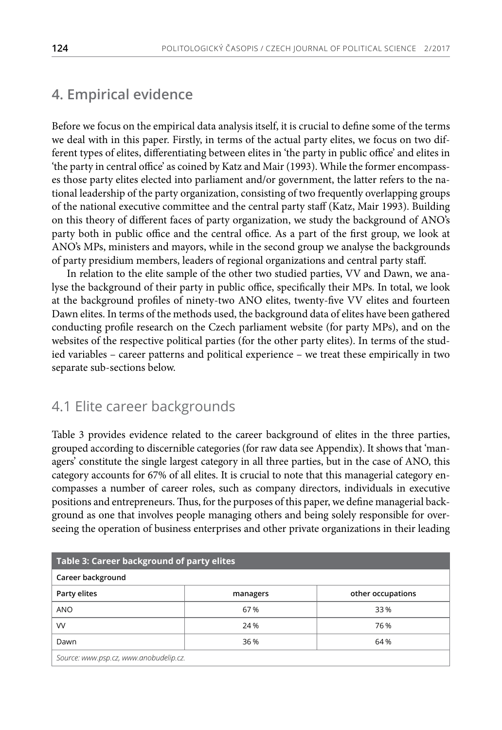## **4. Empirical evidence**

Before we focus on the empirical data analysis itself, it is crucial to define some of the terms we deal with in this paper. Firstly, in terms of the actual party elites, we focus on two different types of elites, differentiating between elites in 'the party in public office' and elites in 'the party in central office' as coined by Katz and Mair (1993). While the former encompasses those party elites elected into parliament and/or government, the latter refers to the national leadership of the party organization, consisting of two frequently overlapping groups of the national executive committee and the central party staff (Katz, Mair 1993). Building on this theory of different faces of party organization, we study the background of ANO's party both in public office and the central office. As a part of the first group, we look at ANO's MPs, ministers and mayors, while in the second group we analyse the backgrounds of party presidium members, leaders of regional organizations and central party staff.

In relation to the elite sample of the other two studied parties, VV and Dawn, we analyse the background of their party in public office, specifically their MPs. In total, we look at the background profiles of ninety-two ANO elites, twenty-five VV elites and fourteen Dawn elites. In terms of the methods used, the background data of elites have been gathered conducting profile research on the Czech parliament website (for party MPs), and on the websites of the respective political parties (for the other party elites). In terms of the studied variables – career patterns and political experience – we treat these empirically in two separate sub-sections below.

#### 4.1 Elite career backgrounds

Table 3 provides evidence related to the career background of elites in the three parties, grouped according to discernible categories (for raw data see Appendix). It shows that 'managers' constitute the single largest category in all three parties, but in the case of ANO, this category accounts for 67% of all elites. It is crucial to note that this managerial category encompasses a number of career roles, such as company directors, individuals in executive positions and entrepreneurs. Thus, for the purposes of this paper, we define managerial background as one that involves people managing others and being solely responsible for overseeing the operation of business enterprises and other private organizations in their leading

| Table 3: Career background of party elites |          |                   |  |  |
|--------------------------------------------|----------|-------------------|--|--|
| Career background                          |          |                   |  |  |
| Party elites                               | managers | other occupations |  |  |
| <b>ANO</b>                                 | 67%      | 33%               |  |  |
| VV                                         | 24 %     | 76 %              |  |  |
| 64 %<br>36 %<br>Dawn                       |          |                   |  |  |
| Source: www.psp.cz, www.anobudelip.cz.     |          |                   |  |  |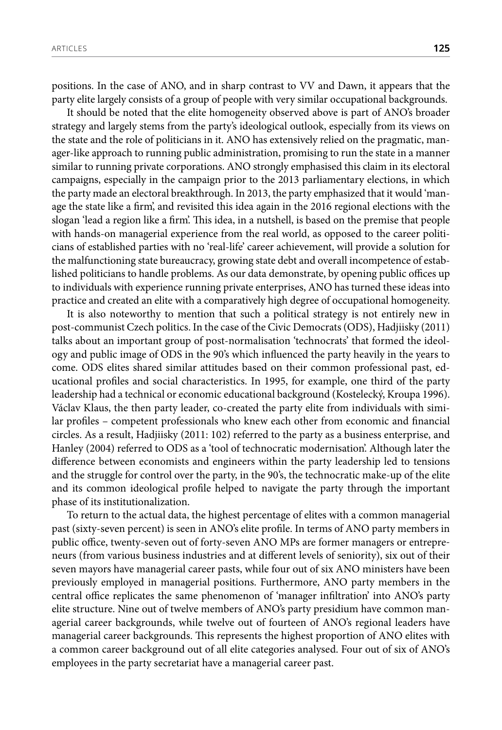positions. In the case of ANO, and in sharp contrast to VV and Dawn, it appears that the party elite largely consists of a group of people with very similar occupational backgrounds.

It should be noted that the elite homogeneity observed above is part of ANO's broader strategy and largely stems from the party's ideological outlook, especially from its views on the state and the role of politicians in it. ANO has extensively relied on the pragmatic, manager-like approach to running public administration, promising to run the state in a manner similar to running private corporations. ANO strongly emphasised this claim in its electoral campaigns, especially in the campaign prior to the 2013 parliamentary elections, in which the party made an electoral breakthrough. In 2013, the party emphasized that it would 'manage the state like a firm', and revisited this idea again in the 2016 regional elections with the slogan 'lead a region like a firm'. This idea, in a nutshell, is based on the premise that people with hands-on managerial experience from the real world, as opposed to the career politicians of established parties with no 'real-life' career achievement, will provide a solution for the malfunctioning state bureaucracy, growing state debt and overall incompetence of established politicians to handle problems. As our data demonstrate, by opening public offices up to individuals with experience running private enterprises, ANO has turned these ideas into practice and created an elite with a comparatively high degree of occupational homogeneity.

It is also noteworthy to mention that such a political strategy is not entirely new in post-communist Czech politics. In the case of the Civic Democrats (ODS), Hadjiisky (2011) talks about an important group of post-normalisation 'technocrats' that formed the ideology and public image of ODS in the 90's which influenced the party heavily in the years to come. ODS elites shared similar attitudes based on their common professional past, educational profiles and social characteristics. In 1995, for example, one third of the party leadership had a technical or economic educational background (Kostelecký, Kroupa 1996). Václav Klaus, the then party leader, co-created the party elite from individuals with similar profiles – competent professionals who knew each other from economic and financial circles. As a result, Hadjiisky (2011: 102) referred to the party as a business enterprise, and Hanley (2004) referred to ODS as a 'tool of technocratic modernisation'. Although later the difference between economists and engineers within the party leadership led to tensions and the struggle for control over the party, in the 90's, the technocratic make-up of the elite and its common ideological profile helped to navigate the party through the important phase of its institutionalization.

To return to the actual data, the highest percentage of elites with a common managerial past (sixty-seven percent) is seen in ANO's elite profile. In terms of ANO party members in public office, twenty-seven out of forty-seven ANO MPs are former managers or entrepreneurs (from various business industries and at different levels of seniority), six out of their seven mayors have managerial career pasts, while four out of six ANO ministers have been previously employed in managerial positions. Furthermore, ANO party members in the central office replicates the same phenomenon of 'manager infiltration' into ANO's party elite structure. Nine out of twelve members of ANO's party presidium have common managerial career backgrounds, while twelve out of fourteen of ANO's regional leaders have managerial career backgrounds. This represents the highest proportion of ANO elites with a common career background out of all elite categories analysed. Four out of six of ANO's employees in the party secretariat have a managerial career past.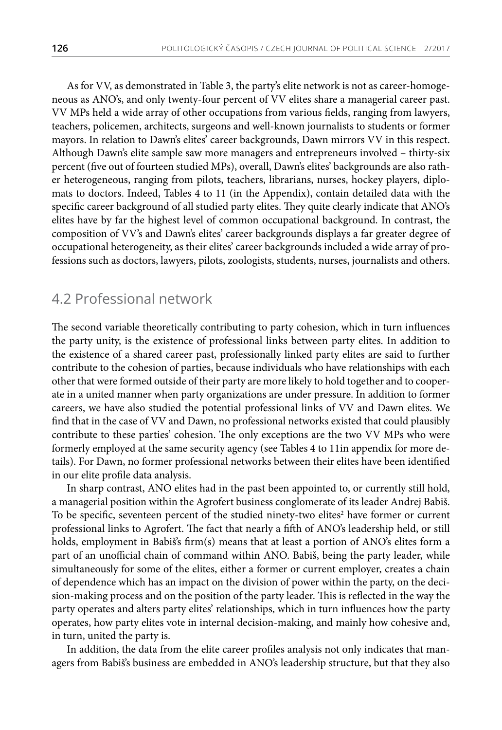As for VV, as demonstrated in Table 3, the party's elite network is not as career-homogeneous as ANO's, and only twenty-four percent of VV elites share a managerial career past. VV MPs held a wide array of other occupations from various fields, ranging from lawyers, teachers, policemen, architects, surgeons and well-known journalists to students or former mayors. In relation to Dawn's elites' career backgrounds, Dawn mirrors VV in this respect. Although Dawn's elite sample saw more managers and entrepreneurs involved – thirty-six percent (five out of fourteen studied MPs), overall, Dawn's elites' backgrounds are also rather heterogeneous, ranging from pilots, teachers, librarians, nurses, hockey players, diplomats to doctors. Indeed, Tables 4 to 11 (in the Appendix), contain detailed data with the specific career background of all studied party elites. They quite clearly indicate that ANO's elites have by far the highest level of common occupational background. In contrast, the composition of VV's and Dawn's elites' career backgrounds displays a far greater degree of occupational heterogeneity, as their elites' career backgrounds included a wide array of professions such as doctors, lawyers, pilots, zoologists, students, nurses, journalists and others.

### 4.2 Professional network

The second variable theoretically contributing to party cohesion, which in turn influences the party unity, is the existence of professional links between party elites. In addition to the existence of a shared career past, professionally linked party elites are said to further contribute to the cohesion of parties, because individuals who have relationships with each other that were formed outside of their party are more likely to hold together and to cooperate in a united manner when party organizations are under pressure. In addition to former careers, we have also studied the potential professional links of VV and Dawn elites. We find that in the case of VV and Dawn, no professional networks existed that could plausibly contribute to these parties' cohesion. The only exceptions are the two VV MPs who were formerly employed at the same security agency (see Tables 4 to 11in appendix for more details). For Dawn, no former professional networks between their elites have been identified in our elite profile data analysis.

In sharp contrast, ANO elites had in the past been appointed to, or currently still hold, a managerial position within the Agrofert business conglomerate of its leader Andrej Babiš. To be specific, seventeen percent of the studied ninety-two elites $^2$  have former or current professional links to Agrofert. The fact that nearly a fifth of ANO's leadership held, or still holds, employment in Babiš's firm(s) means that at least a portion of ANO's elites form a part of an unofficial chain of command within ANO. Babiš, being the party leader, while simultaneously for some of the elites, either a former or current employer, creates a chain of dependence which has an impact on the division of power within the party, on the decision-making process and on the position of the party leader. This is reflected in the way the party operates and alters party elites' relationships, which in turn influences how the party operates, how party elites vote in internal decision-making, and mainly how cohesive and, in turn, united the party is.

In addition, the data from the elite career profiles analysis not only indicates that managers from Babiš's business are embedded in ANO's leadership structure, but that they also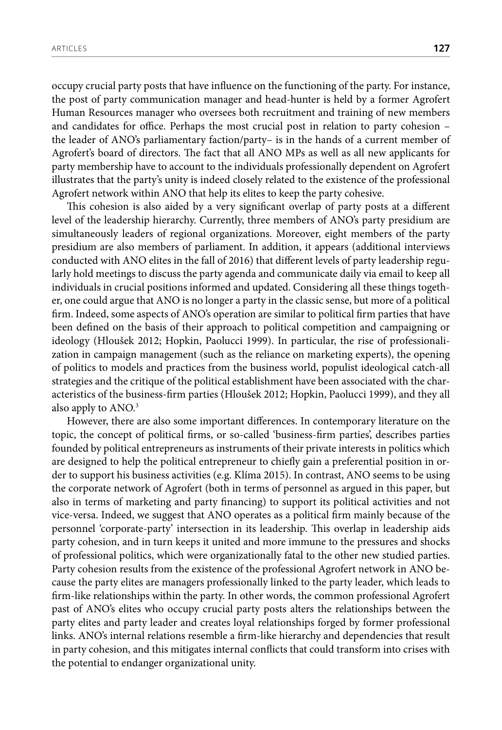occupy crucial party posts that have influence on the functioning of the party. For instance, the post of party communication manager and head-hunter is held by a former Agrofert Human Resources manager who oversees both recruitment and training of new members and candidates for office. Perhaps the most crucial post in relation to party cohesion – the leader of ANO's parliamentary faction/party– is in the hands of a current member of Agrofert's board of directors. The fact that all ANO MPs as well as all new applicants for party membership have to account to the individuals professionally dependent on Agrofert illustrates that the party's unity is indeed closely related to the existence of the professional Agrofert network within ANO that help its elites to keep the party cohesive.

This cohesion is also aided by a very significant overlap of party posts at a different level of the leadership hierarchy. Currently, three members of ANO's party presidium are simultaneously leaders of regional organizations. Moreover, eight members of the party presidium are also members of parliament. In addition, it appears (additional interviews conducted with ANO elites in the fall of 2016) that different levels of party leadership regularly hold meetings to discuss the party agenda and communicate daily via email to keep all individuals in crucial positions informed and updated. Considering all these things together, one could argue that ANO is no longer a party in the classic sense, but more of a political firm. Indeed, some aspects of ANO's operation are similar to political firm parties that have been defined on the basis of their approach to political competition and campaigning or ideology (Hloušek 2012; Hopkin, Paolucci 1999). In particular, the rise of professionalization in campaign management (such as the reliance on marketing experts), the opening of politics to models and practices from the business world, populist ideological catch-all strategies and the critique of the political establishment have been associated with the characteristics of the business-firm parties (Hloušek 2012; Hopkin, Paolucci 1999), and they all also apply to ANO.3

However, there are also some important differences. In contemporary literature on the topic, the concept of political firms, or so-called 'business-firm parties', describes parties founded by political entrepreneurs as instruments of their private interests in politics which are designed to help the political entrepreneur to chiefly gain a preferential position in order to support his business activities (e.g. Klíma 2015). In contrast, ANO seems to be using the corporate network of Agrofert (both in terms of personnel as argued in this paper, but also in terms of marketing and party financing) to support its political activities and not vice-versa. Indeed, we suggest that ANO operates as a political firm mainly because of the personnel 'corporate-party' intersection in its leadership. This overlap in leadership aids party cohesion, and in turn keeps it united and more immune to the pressures and shocks of professional politics, which were organizationally fatal to the other new studied parties. Party cohesion results from the existence of the professional Agrofert network in ANO because the party elites are managers professionally linked to the party leader, which leads to firm-like relationships within the party. In other words, the common professional Agrofert past of ANO's elites who occupy crucial party posts alters the relationships between the party elites and party leader and creates loyal relationships forged by former professional links. ANO's internal relations resemble a firm-like hierarchy and dependencies that result in party cohesion, and this mitigates internal conflicts that could transform into crises with the potential to endanger organizational unity.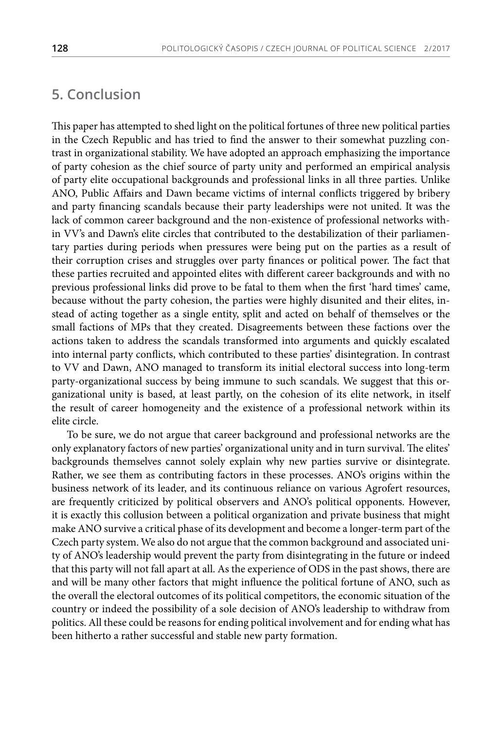# **5. Conclusion**

This paper has attempted to shed light on the political fortunes of three new political parties in the Czech Republic and has tried to find the answer to their somewhat puzzling contrast in organizational stability. We have adopted an approach emphasizing the importance of party cohesion as the chief source of party unity and performed an empirical analysis of party elite occupational backgrounds and professional links in all three parties. Unlike ANO, Public Affairs and Dawn became victims of internal conflicts triggered by bribery and party financing scandals because their party leaderships were not united. It was the lack of common career background and the non-existence of professional networks within VV's and Dawn's elite circles that contributed to the destabilization of their parliamentary parties during periods when pressures were being put on the parties as a result of their corruption crises and struggles over party finances or political power. The fact that these parties recruited and appointed elites with different career backgrounds and with no previous professional links did prove to be fatal to them when the first 'hard times' came, because without the party cohesion, the parties were highly disunited and their elites, instead of acting together as a single entity, split and acted on behalf of themselves or the small factions of MPs that they created. Disagreements between these factions over the actions taken to address the scandals transformed into arguments and quickly escalated into internal party conflicts, which contributed to these parties' disintegration. In contrast to VV and Dawn, ANO managed to transform its initial electoral success into long-term party-organizational success by being immune to such scandals. We suggest that this organizational unity is based, at least partly, on the cohesion of its elite network, in itself the result of career homogeneity and the existence of a professional network within its elite circle.

To be sure, we do not argue that career background and professional networks are the only explanatory factors of new parties' organizational unity and in turn survival. The elites' backgrounds themselves cannot solely explain why new parties survive or disintegrate. Rather, we see them as contributing factors in these processes. ANO's origins within the business network of its leader, and its continuous reliance on various Agrofert resources, are frequently criticized by political observers and ANO's political opponents. However, it is exactly this collusion between a political organization and private business that might make ANO survive a critical phase of its development and become a longer-term part of the Czech party system. We also do not argue that the common background and associated unity of ANO's leadership would prevent the party from disintegrating in the future or indeed that this party will not fall apart at all. As the experience of ODS in the past shows, there are and will be many other factors that might influence the political fortune of ANO, such as the overall the electoral outcomes of its political competitors, the economic situation of the country or indeed the possibility of a sole decision of ANO's leadership to withdraw from politics. All these could be reasons for ending political involvement and for ending what has been hitherto a rather successful and stable new party formation.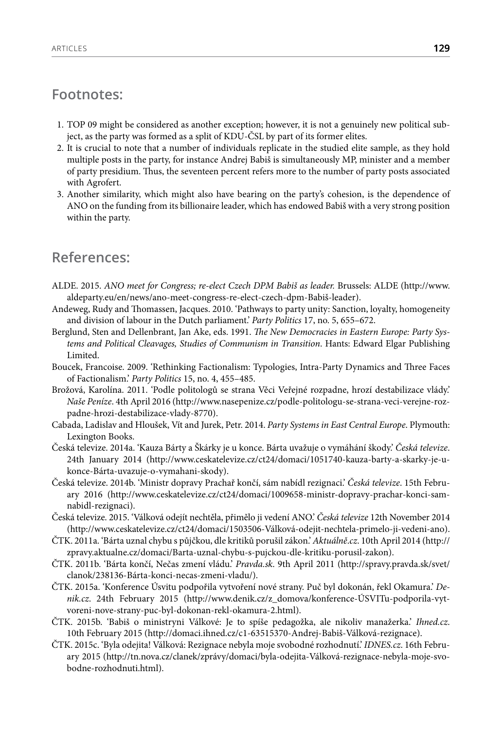#### **Footnotes:**

- 1. TOP 09 might be considered as another exception; however, it is not a genuinely new political subject, as the party was formed as a split of KDU-ČSL by part of its former elites.
- 2. It is crucial to note that a number of individuals replicate in the studied elite sample, as they hold multiple posts in the party, for instance Andrej Babiš is simultaneously MP, minister and a member of party presidium. Thus, the seventeen percent refers more to the number of party posts associated with Agrofert.
- 3. Another similarity, which might also have bearing on the party's cohesion, is the dependence of ANO on the funding from its billionaire leader, which has endowed Babiš with a very strong position within the party.

#### **References:**

- ALDE. 2015. *ANO meet for Congress; re-elect Czech DPM Babiš as leader.* Brussels: ALDE (http://www. aldeparty.eu/en/news/ano-meet-congress-re-elect-czech-dpm-Babiš-leader).
- Andeweg, Rudy and Thomassen, Jacques. 2010. 'Pathways to party unity: Sanction, loyalty, homogeneity and division of labour in the Dutch parliament.' *Party Politics* 17, no. 5, 655–672.
- Berglund, Sten and Dellenbrant, Jan Ake, eds. 1991. *The New Democracies in Eastern Europe: Party Systems and Political Cleavages, Studies of Communism in Transition*. Hants: Edward Elgar Publishing Limited.
- Boucek, Francoise. 2009. 'Rethinking Factionalism: Typologies, Intra-Party Dynamics and Three Faces of Factionalism.' *Party Politics* 15, no. 4, 455–485.
- Brožová, Karolína. 2011. 'Podle politologů se strana Věci Veřejné rozpadne, hrozí destabilizace vlády.' *Naše Peníze*. 4th April 2016 (http://www.nasepenize.cz/podle-politologu-se-strana-veci-verejne-rozpadne-hrozi-destabilizace-vlady-8770).
- Cabada, Ladislav and Hloušek, Vít and Jurek, Petr. 2014. *Party Systems in East Central Europe*. Plymouth: Lexington Books.
- Česká televize. 2014a. 'Kauza Bárty a Škárky je u konce. Bárta uvažuje o vymáhání škody.' *Česká televize*. 24th January 2014 (http://www.ceskatelevize.cz/ct24/domaci/1051740-kauza-barty-a-skarky-je-ukonce-Bárta-uvazuje-o-vymahani-skody).
- Česká televize. 2014b. 'Ministr dopravy Prachař končí, sám nabídl rezignaci.' *Česká televize*. 15th February 2016 (http://www.ceskatelevize.cz/ct24/domaci/1009658-ministr-dopravy-prachar-konci-samnabidl-rezignaci).
- Česká televize. 2015. 'Válková odejít nechtěla, přimělo ji vedení ANO.' *Česká televize* 12th November 2014 (http://www.ceskatelevize.cz/ct24/domaci/1503506-Válková-odejit-nechtela-primelo-ji-vedeni-ano).
- ČTK. 2011a. 'Bárta uznal chybu s půjčkou, dle kritiků porušil zákon.' *Aktuálně*.*cz*. 10th April 2014 (http:// zpravy.aktualne.cz/domaci/Barta-uznal-chybu-s-pujckou-dle-kritiku-porusil-zakon).
- ČTK. 2011b. 'Bárta končí, Nečas zmení vládu.' *Pravda.sk*. 9th April 2011 (http://spravy.pravda.sk/svet/ clanok/238136-Bárta-konci-necas-zmeni-vladu/).
- ČTK. 2015a. 'Konference Úsvitu podpořila vytvoření nové strany. Puč byl dokonán, řekl Okamura.' *Denik.cz*. 24th February 2015 (http://www.denik.cz/z\_domova/konference-ÚSVITu-podporila-vytvoreni-nove-strany-puc-byl-dokonan-rekl-okamura-2.html).
- ČTK. 2015b. 'Babiš o ministryni Válkové: Je to spíše pedagožka, ale nikoliv manažerka.' *Ihned.cz*. 10th February 2015 (http://domaci.ihned.cz/c1-63515370-Andrej-Babiš-Válková-rezignace).
- ČTK. 2015c. 'Byla odejita! Válková: Rezignace nebyla moje svobodné rozhodnutí.' *IDNES.cz*. 16th February 2015 (http://tn.nova.cz/clanek/zprávy/domaci/byla-odejita-Válková-rezignace-nebyla-moje-svobodne-rozhodnuti.html).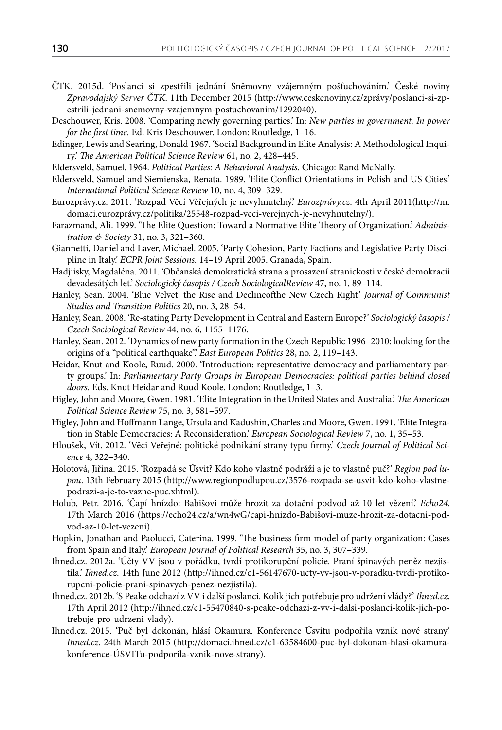- ČTK. 2015d. 'Poslanci si zpestřili jednání Sněmovny vzájemným pošťuchováním.' České noviny *Zpravodajský Server ČTK*. 11th December 2015 (http://www.ceskenoviny.cz/zprávy/poslanci-si-zpestrili-jednani-snemovny-vzajemnym-postuchovanim/1292040).
- [Deschouwer, Kris.](https://cris.cumulus.vub.ac.be/portal/en/persons/kris-deschouwer%28915ce3ad-af0b-4d32-8a76-79aa2a2bd81b%29.html) 2008. 'Comparing newly governing parties.' In: *New parties in government. In power for the first time.* Ed. Kris Deschouwer. London: Routledge, 1–16.
- Edinger, Lewis and Searing, Donald 1967. 'Social Background in Elite Analysis: A Methodological Inquiry.' *The American Political Science Review* 61, no. 2, 428–445.
- Eldersveld, Samuel. 1964. *Political Parties: A Behavioral Analysis.* Chicago: Rand McNally.
- Eldersveld, Samuel and Siemienska, Renata. 1989. 'Elite Conflict Orientations in Polish and US Cities.' *International Political Science Review* 10, no. 4, 309–329.
- Eurozprávy.cz. 2011. 'Rozpad Věcí Věřejných je nevyhnutelný.' *Eurozprávy.cz*. 4th April 2011(http://m. domaci.eurozprávy.cz/politika/25548-rozpad-veci-verejnych-je-nevyhnutelny/).
- Farazmand, Ali. 1999. 'The Elite Question: Toward a Normative Elite Theory of Organization.' *Administration & Society* 31, no. 3, 321–360.
- Giannetti, Daniel and Laver, Michael. 2005. 'Party Cohesion, Party Factions and Legislative Party Discipline in Italy.' *ECPR Joint Sessions.* 14–19 April 2005. Granada, Spain.
- Hadjiisky, Magdaléna. 2011. 'Občanská demokratická strana a prosazení stranickosti v české demokracii devadesátých let.' *Sociologický časopis / Czech SociologicalReview* 47, no. 1, 89–114.
- Hanley, Sean. 2004. 'Blue Velvet: the Rise and Declineofthe New Czech Right.' *Journal of Communist Studies and Transition Politics* 20, no. 3, 28–54.
- Hanley, Sean. 2008. 'Re-stating Party Development in Central and Eastern Europe?' *Sociologický časopis / Czech Sociological Review* 44, no. 6, 1155–1176.
- Hanley, Sean. 2012. 'Dynamics of new party formation in the Czech Republic 1996–2010: looking for the origins of a "political earthquake".' *East European Politics* 28, no. 2, 119–143.
- Heidar, Knut and Koole, Ruud. 2000. 'Introduction: representative democracy and parliamentary party groups.' In: *Parliamentary Party Groups in European Democracies: political parties behind closed doors.* Eds. Knut Heidar and Ruud Koole. London: Routledge, 1–3.
- Higley, John and Moore, Gwen. 1981. 'Elite Integration in the United States and Australia.' *The American Political Science Review* 75, no. 3, 581–597.
- Higley, John and Hoffmann Lange, Ursula and Kadushin, Charles and Moore, Gwen. 1991. 'Elite Integration in Stable Democracies: A Reconsideration.' *European Sociological Review* 7, no. 1, 35–53.
- Hloušek, Vít. 2012. 'Věci Veřejné: politické podnikání strany typu firmy.' *Czech Journal of Political Science* 4, 322–340.
- Holotová, Jiřina. 2015. 'Rozpadá se Úsvit? Kdo koho vlastně podráží a je to vlastně puč?' *Region pod lupou*. 13th February 2015 (http://www.regionpodlupou.cz/3576-rozpada-se-usvit-kdo-koho-vlastnepodrazi-a-je-to-vazne-puc.xhtml).
- Holub, Petr. 2016. 'Čapí hnízdo: Babišovi může hrozit za dotační podvod až 10 let vězení.' *Echo24*. 17th March 2016 (https://echo24.cz/a/wn4wG/capi-hnizdo-Babišovi-muze-hrozit-za-dotacni-podvod-az-10-let-vezeni).
- Hopkin, Jonathan and Paolucci, Caterina. 1999. 'The business firm model of party organization: Cases from Spain and Italy.' *European Journal of Political Research* 35, no. 3, 307–339.
- Ihned.cz. 2012a. 'Účty VV jsou v pořádku, tvrdí protikorupční policie. Praní špinavých peněz nezjistila.' *Ihned.cz*. 14th June 2012 (http://ihned.cz/c1-56147670-ucty-vv-jsou-v-poradku-tvrdi-protikorupcni-policie-prani-spinavych-penez-nezjistila).
- Ihned.cz. 2012b. 'S Peake odchazí z VV i další poslanci. Kolik jich potřebuje pro udržení vlády?' *Ihned.cz*. 17th April 2012 (http://ihned.cz/c1-55470840-s-peake-odchazi-z-vv-i-dalsi-poslanci-kolik-jich-potrebuje-pro-udrzeni-vlady).
- Ihned.cz. 2015. 'Puč byl dokonán, hlásí Okamura*.* Konference Úsvitu podpořila vznik nové strany.' *Ihned.cz*. 24th March 2015 (http://domaci.ihned.cz/c1-63584600-puc-byl-dokonan-hlasi-okamurakonference-ÚSVITu-podporila-vznik-nove-strany).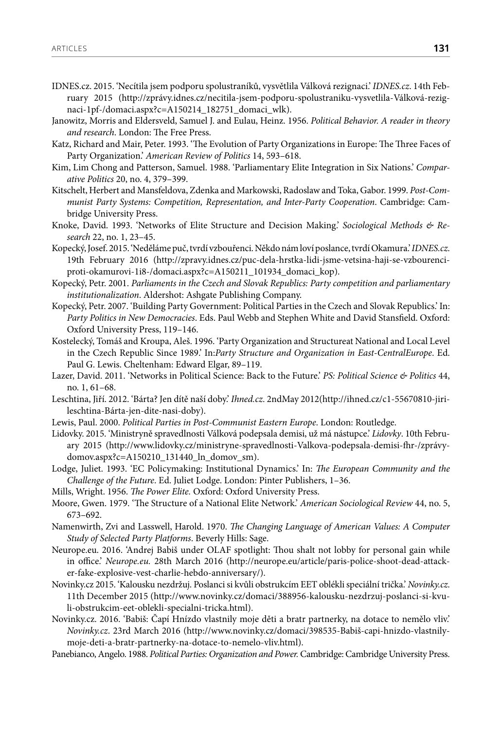- IDNES.cz. 2015. 'Necítila jsem podporu spolustraníků, vysvětlila Válková rezignaci.' *IDNES.cz*. 14th February 2015 (http://zprávy.idnes.cz/necitila-jsem-podporu-spolustraniku-vysvetlila-Válková-rezignaci-1pf-/domaci.aspx?c=A150214\_182751\_domaci\_wlk).
- Janowitz, Morris and Eldersveld, Samuel J. and Eulau, Heinz. 1956. *Political Behavior. A reader in theory and research*. London: The Free Press.
- Katz, Richard and Mair, Peter. 1993. 'The Evolution of Party Organizations in Europe: The Three Faces of Party Organization.' *American Review of Politics* 14, 593–618.
- Kim, Lim Chong and Patterson, Samuel. 1988. 'Parliamentary Elite Integration in Six Nations.' *Comparative Politics* 20, no. 4, 379–399.
- Kitschelt, Herbert and Mansfeldova, Zdenka and Markowski, Radoslaw and Toka, Gabor. 1999. *Post-Communist Party Systems: Competition, Representation, and Inter-Party Cooperation*. Cambridge: Cambridge University Press.
- Knoke, David. 1993. 'Networks of Elite Structure and Decision Making.' *Sociological Methods & Research* 22, no. 1, 23–45.
- Kopecký, Josef. 2015. 'Neděláme puč, tvrdí vzbouřenci. Někdo nám loví poslance, tvrdí Okamura.' *IDNES.cz*. 19th February 2016 (http://zpravy.idnes.cz/puc-dela-hrstka-lidi-jsme-vetsina-haji-se-vzbourenciproti-okamurovi-1i8-/domaci.aspx?c=A150211\_101934\_domaci\_kop).
- Kopecký, Petr. 2001. *Parliaments in the Czech and Slovak Republics: Party competition and parliamentary institutionalization*. Aldershot: Ashgate Publishing Company.
- Kopecký, Petr. 2007. 'Building Party Government: Political Parties in the Czech and Slovak Republics.' In: *Party Politics in New Democracies*. Eds. Paul Webb and Stephen White and David Stansfield. Oxford: Oxford University Press, 119–146.
- Kostelecký, Tomáš and Kroupa, Aleš. 1996. 'Party Organization and Structureat National and Local Level in the Czech Republic Since 1989.' In:*Party Structure and Organization in East-CentralEurope*. Ed. Paul G. Lewis. Cheltenham: Edward Elgar, 89–119.
- Lazer, David. 2011. 'Networks in Political Science: Back to the Future.' *PS: Political Science & Politics* 44, no. 1, 61–68.
- Leschtina, Jiří. 2012. 'Bárta? Jen dítě naší doby.' *Ihned.cz*. 2ndMay 2012(http://ihned.cz/c1-55670810-jirileschtina-Bárta-jen-dite-nasi-doby).
- Lewis, Paul. 2000. *Political Parties in Post-Communist Eastern Europe*. London: Routledge.
- Lidovky. 2015. 'Ministryně spravedlnosti Válková podepsala demisi, už má nástupce.' *Lidovky*. 10th February 2015 (http://www.lidovky.cz/ministryne-spravedlnosti-Valkova-podepsala-demisi-fhr-/zprávydomov.aspx?c=A150210\_131440\_ln\_domov\_sm).
- Lodge, Juliet. 1993. 'EC Policymaking: Institutional Dynamics.' In: *The European Community and the Challenge of the Future*. Ed. Juliet Lodge. London: Pinter Publishers, 1–36.
- Mills, Wright. 1956. *The Power Elite.* Oxford: Oxford University Press.
- Moore, Gwen. 1979. 'The Structure of a National Elite Network.' *American Sociological Review* 44, no. 5, 673–692.
- Namenwirth, Zvi and Lasswell, Harold. 1970. *The Changing Language of American Values: A Computer Study of Selected Party Platforms*. Beverly Hills: Sage.
- Neurope.eu. 2016. 'Andrej Babiš under OLAF spotlight: Thou shalt not lobby for personal gain while in office.' *Neurope.eu.* 28th March 2016 (http://neurope.eu/article/paris-police-shoot-dead-attacker-fake-explosive-vest-charlie-hebdo-anniversary/).
- Novinky.cz 2015. 'Kalousku nezdržuj. Poslanci si kvůli obstrukcím EET oblékli speciální trička.' *Novinky.cz*. 11th December 2015 (http://www.novinky.cz/domaci/388956-kalousku-nezdrzuj-poslanci-si-kvuli-obstrukcim-eet-oblekli-specialni-tricka.html).
- Novinky.cz. 2016. 'Babiš: Čapí Hnízdo vlastnily moje děti a bratr partnerky, na dotace to nemělo vliv.' *Novinky.cz*. 23rd March 2016 (http://www.novinky.cz/domaci/398535-Babiš-capi-hnizdo-vlastnilymoje-deti-a-bratr-partnerky-na-dotace-to-nemelo-vliv.html).
- Panebianco, Angelo. 1988. *Political Parties: Organization and Power.* Cambridge: Cambridge University Press.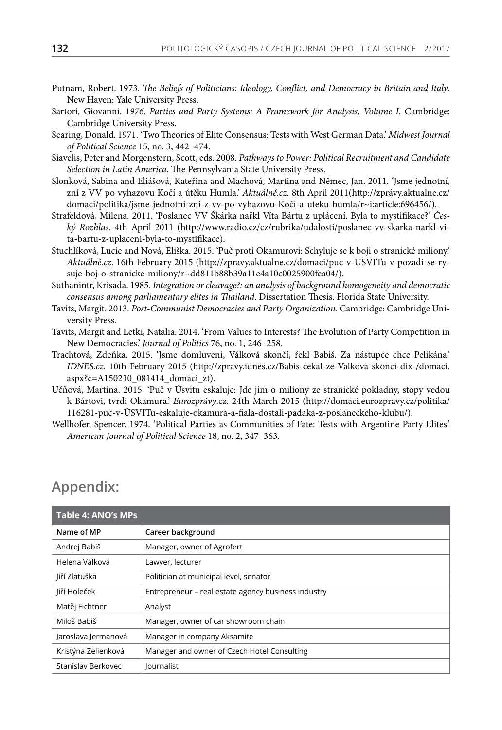- Putnam, Robert. 1973. *The Beliefs of Politicians: Ideology, Conflict, and Democracy in Britain and Italy*. New Haven: Yale University Press.
- Sartori, Giovanni. 1976. Parties and Party Systems: A Framework for Analysis, Volume I. Cambridge: Cambridge University Press.
- Searing, Donald. 1971. 'Two Theories of Elite Consensus: Tests with West German Data.' *Midwest Journal of Political Science* 15, no. 3, 442–474.
- Siavelis, Peter and Morgenstern, Scott, eds. 2008. *Pathways to Power: Political Recruitment and Candidate Selection in Latin America*. The Pennsylvania State University Press.
- Slonková, Sabina and Eliášová, Kateřina and Machová, Martina and Němec, Jan. 2011*.* 'Jsme jednotní, zní z VV po vyhazovu Kočí a útěku Humla.' *Aktuálně.cz*. 8th April 2011(http://zprávy.aktualne.cz/ domaci/politika/jsme-jednotni-zni-z-vv-po-vyhazovu-Kočí-a-uteku-humla/r~i:article:696456/).
- Strafeldová, Milena. 2011. 'Poslanec VV Škárka nařkl Víta Bártu z uplácení. Byla to mystifikace?' *Český Rozhlas*. 4th April 2011 (http://www.radio.cz/cz/rubrika/udalosti/poslanec-vv-skarka-narkl-vita-bartu-z-uplaceni-byla-to-mystifikace).
- Stuchlíková, Lucie and Nová, Eliška. 2015. 'Puč proti Okamurovi: Schyluje se k boji o stranické miliony.' *Aktuálně.cz*. 16th February 2015 (http://zpravy.aktualne.cz/domaci/puc-v-USVITu-v-pozadi-se-rysuje-boj-o-stranicke-miliony/r~dd811b88b39a11e4a10c0025900fea04/).
- Suthanintr, Krisada. 1985. *Integration or cleavage?: an analysis of background homogeneity and democratic consensus among parliamentary elites in Thailand*. Dissertation Thesis. Florida State University.
- Tavits, Margit. 2013. *Post-Communist Democracies and Party Organization.* Cambridge: Cambridge University Press.
- Tavits, Margit and Letki, Natalia. 2014. 'From Values to Interests? The Evolution of Party Competition in New Democracies.' *Journal of Politics* 76, no. 1, 246–258.
- Trachtová, Zdeňka. 2015. 'Jsme domluveni, Válková skončí, řekl Babiš. Za nástupce chce Pelikána.' *IDNES.cz*. 10th February 2015 (http://zpravy.idnes.cz/Babis-cekal-ze-Valkova-skonci-dix-/domaci. aspx?c=A150210\_081414\_domaci\_zt).
- Učňová, Martina. 2015. 'Puč v Úsvitu eskaluje: Jde jim o miliony ze stranické pokladny, stopy vedou k Bártovi, tvrdi Okamura.' *Eurozprávy*.cz. 24th March 2015 (http://domaci.eurozpravy.cz/politika/ 116281-puc-v-ÚSVITu-eskaluje-okamura-a-fiala-dostali-padaka-z-poslaneckeho-klubu/).
- Wellhofer, Spencer. 1974. 'Political Parties as Communities of Fate: Tests with Argentine Party Elites.' *American Journal of Political Science* 18, no. 2, 347–363.

# **Appendix:**

| Table 4: ANO's MPs  |                                                     |  |  |  |
|---------------------|-----------------------------------------------------|--|--|--|
| Name of MP          | Career background                                   |  |  |  |
| Andrej Babiš        | Manager, owner of Agrofert                          |  |  |  |
| Helena Válková      | Lawyer, lecturer                                    |  |  |  |
| Jiří Zlatuška       | Politician at municipal level, senator              |  |  |  |
| Jiří Holeček        | Entrepreneur - real estate agency business industry |  |  |  |
| Matěj Fichtner      | Analyst                                             |  |  |  |
| Miloš Babiš         | Manager, owner of car showroom chain                |  |  |  |
| Jaroslava Jermanová | Manager in company Aksamite                         |  |  |  |
| Kristýna Zelienková | Manager and owner of Czech Hotel Consulting         |  |  |  |
| Stanislav Berkovec  | Journalist                                          |  |  |  |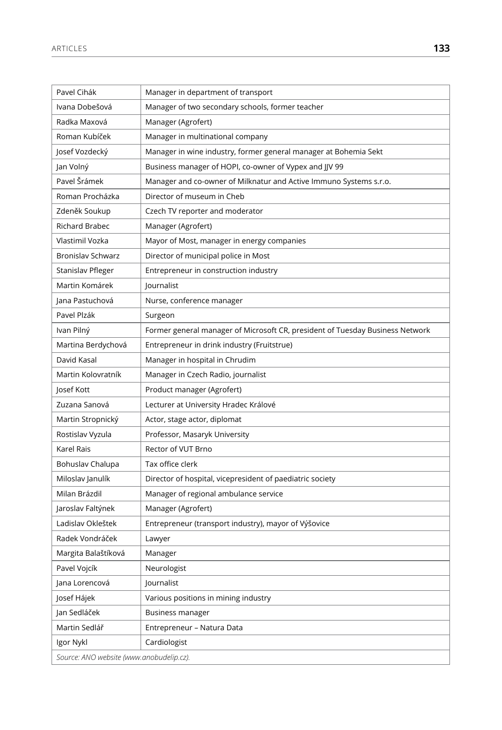| Pavel Cihák                              | Manager in department of transport                                            |
|------------------------------------------|-------------------------------------------------------------------------------|
| Ivana Dobešová                           | Manager of two secondary schools, former teacher                              |
| Radka Maxová                             | Manager (Agrofert)                                                            |
| Roman Kubíček                            | Manager in multinational company                                              |
| Josef Vozdecký                           | Manager in wine industry, former general manager at Bohemia Sekt              |
| Jan Volný                                | Business manager of HOPI, co-owner of Vypex and JJV 99                        |
| Pavel Šrámek                             | Manager and co-owner of Milknatur and Active Immuno Systems s.r.o.            |
| Roman Procházka                          | Director of museum in Cheb                                                    |
| Zdeněk Soukup                            | Czech TV reporter and moderator                                               |
| Richard Brabec                           | Manager (Agrofert)                                                            |
| Vlastimil Vozka                          | Mayor of Most, manager in energy companies                                    |
| Bronislav Schwarz                        | Director of municipal police in Most                                          |
| Stanislav Pfleger                        | Entrepreneur in construction industry                                         |
| Martin Komárek                           | Journalist                                                                    |
| Jana Pastuchová                          | Nurse, conference manager                                                     |
| Pavel Plzák                              | Surgeon                                                                       |
| Ivan Pilný                               | Former general manager of Microsoft CR, president of Tuesday Business Network |
| Martina Berdychová                       | Entrepreneur in drink industry (Fruitstrue)                                   |
| David Kasal                              | Manager in hospital in Chrudim                                                |
| Martin Kolovratník                       | Manager in Czech Radio, journalist                                            |
| Josef Kott                               | Product manager (Agrofert)                                                    |
| Zuzana Sanová                            | Lecturer at University Hradec Králové                                         |
| Martin Stropnický                        | Actor, stage actor, diplomat                                                  |
| Rostislav Vyzula                         | Professor, Masaryk University                                                 |
| Karel Rais                               | Rector of VUT Brno                                                            |
| Bohuslav Chalupa                         | Tax office clerk                                                              |
| Miloslav Janulík                         | Director of hospital, vicepresident of paediatric society                     |
| Milan Brázdil                            | Manager of regional ambulance service                                         |
| Jaroslav Faltýnek                        | Manager (Agrofert)                                                            |
| Ladislav Okleštek                        | Entrepreneur (transport industry), mayor of Výšovice                          |
| Radek Vondráček                          | Lawyer                                                                        |
| Margita Balaštíková                      | Manager                                                                       |
| Pavel Vojcík                             | Neurologist                                                                   |
| Jana Lorencová                           | Journalist                                                                    |
| Josef Hájek                              | Various positions in mining industry                                          |
| Jan Sedláček                             | <b>Business manager</b>                                                       |
| Martin Sedlář                            | Entrepreneur - Natura Data                                                    |
| Igor Nykl                                | Cardiologist                                                                  |
| Source: ANO website (www.anobudelip.cz). |                                                                               |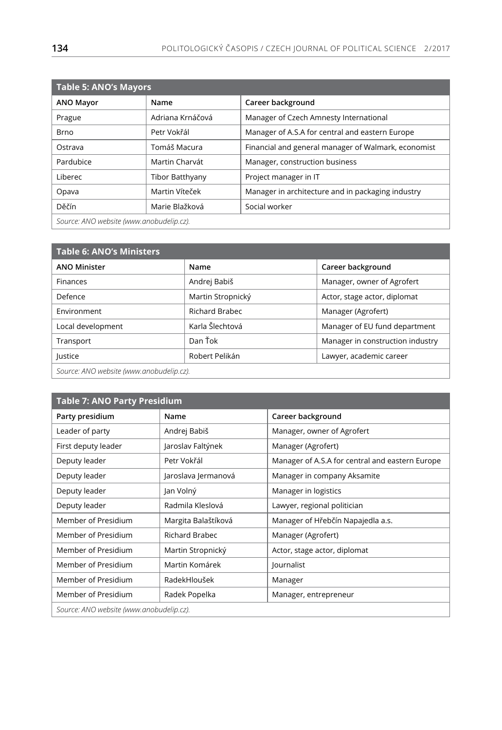| <b>Table 5: ANO's Mayors</b>             |                        |                                                     |  |  |
|------------------------------------------|------------------------|-----------------------------------------------------|--|--|
| <b>ANO Mayor</b>                         | Name                   | Career background                                   |  |  |
| Prague                                   | Adriana Krnáčová       | Manager of Czech Amnesty International              |  |  |
| <b>Brno</b>                              | Petr Vokřál            | Manager of A.S.A for central and eastern Europe     |  |  |
| Ostrava                                  | Tomáš Macura           | Financial and general manager of Walmark, economist |  |  |
| Pardubice                                | Martin Charvát         | Manager, construction business                      |  |  |
| Liberec                                  | <b>Tibor Batthyany</b> | Project manager in IT                               |  |  |
| Opava                                    | Martin Víteček         | Manager in architecture and in packaging industry   |  |  |
| Děčín                                    | Marie Blažková         | Social worker                                       |  |  |
| Source: ANO website (www.anobudelip.cz). |                        |                                                     |  |  |

| <b>Table 6: ANO's Ministers</b>          |                       |                                  |  |  |  |
|------------------------------------------|-----------------------|----------------------------------|--|--|--|
| <b>ANO Minister</b>                      | Name                  | Career background                |  |  |  |
| <b>Finances</b>                          | Andrej Babiš          | Manager, owner of Agrofert       |  |  |  |
| Defence                                  | Martin Stropnický     | Actor, stage actor, diplomat     |  |  |  |
| Environment                              | <b>Richard Brabec</b> | Manager (Agrofert)               |  |  |  |
| Local development                        | Karla Šlechtová       | Manager of EU fund department    |  |  |  |
| Transport                                | Dan Ťok               | Manager in construction industry |  |  |  |
| lustice                                  | Robert Pelikán        | Lawyer, academic career          |  |  |  |
| Source: ANO website (www.anobudelip.cz). |                       |                                  |  |  |  |

| <b>Table 7: ANO Party Presidium</b>      |                       |                                                 |  |  |
|------------------------------------------|-----------------------|-------------------------------------------------|--|--|
| Party presidium                          | Name                  | Career background                               |  |  |
| Leader of party                          | Andrej Babiš          | Manager, owner of Agrofert                      |  |  |
| First deputy leader                      | Jaroslav Faltýnek     | Manager (Agrofert)                              |  |  |
| Deputy leader                            | Petr Vokřál           | Manager of A.S.A for central and eastern Europe |  |  |
| Deputy leader                            | Jaroslava Jermanová   | Manager in company Aksamite                     |  |  |
| Deputy leader                            | Jan Volný             | Manager in logistics                            |  |  |
| Deputy leader                            | Radmila Kleslová      | Lawyer, regional politician                     |  |  |
| Member of Presidium                      | Margita Balaštíková   | Manager of Hřebčín Napajedla a.s.               |  |  |
| Member of Presidium                      | <b>Richard Brabec</b> | Manager (Agrofert)                              |  |  |
| Member of Presidium                      | Martin Stropnický     | Actor, stage actor, diplomat                    |  |  |
| Member of Presidium                      | Martin Komárek        | Journalist                                      |  |  |
| Member of Presidium                      | RadekHloušek          | Manager                                         |  |  |
| Member of Presidium                      | Radek Popelka         | Manager, entrepreneur                           |  |  |
| Source: ANO website (www.anobudelip.cz). |                       |                                                 |  |  |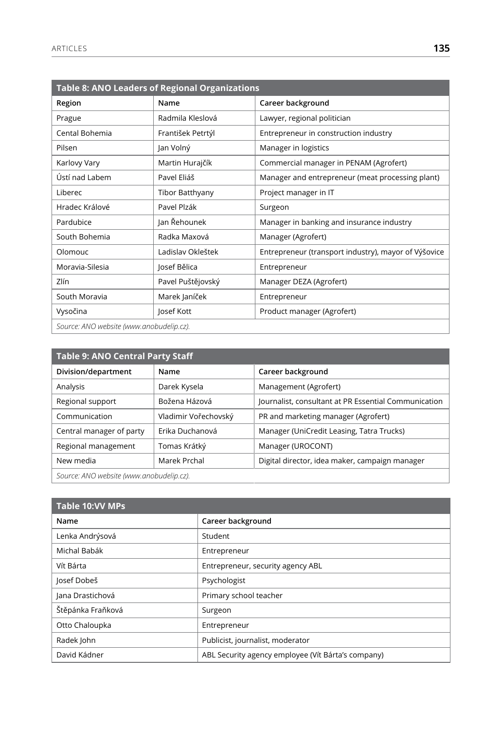| Table 8: ANO Leaders of Regional Organizations |                        |                                                      |  |  |  |
|------------------------------------------------|------------------------|------------------------------------------------------|--|--|--|
| Region                                         | Name                   | Career background                                    |  |  |  |
| Prague                                         | Radmila Kleslová       | Lawyer, regional politician                          |  |  |  |
| Cental Bohemia                                 | František Petrtýl      | Entrepreneur in construction industry                |  |  |  |
| Pilsen                                         | Jan Volný              | Manager in logistics                                 |  |  |  |
| Karlovy Vary                                   | Martin Hurajčík        | Commercial manager in PENAM (Agrofert)               |  |  |  |
| Ústí nad Labem                                 | Pavel Eliáš            | Manager and entrepreneur (meat processing plant)     |  |  |  |
| Liberec                                        | <b>Tibor Batthyany</b> | Project manager in IT                                |  |  |  |
| Hradec Králové                                 | Pavel Plzák            | Surgeon                                              |  |  |  |
| Pardubice                                      | Jan Řehounek           | Manager in banking and insurance industry            |  |  |  |
| South Bohemia                                  | Radka Maxová           | Manager (Agrofert)                                   |  |  |  |
| Olomouc                                        | Ladislav Okleštek      | Entrepreneur (transport industry), mayor of Výšovice |  |  |  |
| Moravia-Silesia                                | Josef Bělica           | Entrepreneur                                         |  |  |  |
| Zlín                                           | Pavel Puštějovský      | Manager DEZA (Agrofert)                              |  |  |  |
| South Moravia                                  | Marek Janíček          | Entrepreneur                                         |  |  |  |
| Vysočina                                       | Josef Kott             | Product manager (Agrofert)                           |  |  |  |
| Source: ANO website (www.anobudelip.cz).       |                        |                                                      |  |  |  |

| <b>Table 9: ANO Central Party Staff</b>  |                      |                                                      |  |  |
|------------------------------------------|----------------------|------------------------------------------------------|--|--|
| Division/department                      | Name                 | Career background                                    |  |  |
| Analysis                                 | Darek Kysela         | Management (Agrofert)                                |  |  |
| Regional support                         | Božena Házová        | Journalist, consultant at PR Essential Communication |  |  |
| Communication                            | Vladimir Vořechovský | PR and marketing manager (Agrofert)                  |  |  |
| Central manager of party                 | Erika Duchanová      | Manager (UniCredit Leasing, Tatra Trucks)            |  |  |
| Regional management                      | Tomas Krátký         | Manager (UROCONT)                                    |  |  |
| Marek Prchal<br>New media                |                      | Digital director, idea maker, campaign manager       |  |  |
| Source: ANO website (www.anobudelip.cz). |                      |                                                      |  |  |

| <b>Table 10:VV MPs</b> |                                                    |  |
|------------------------|----------------------------------------------------|--|
| Name                   | Career background                                  |  |
| Lenka Andrýsová        | Student                                            |  |
| Michal Babák           | Entrepreneur                                       |  |
| Vít Bárta              | Entrepreneur, security agency ABL                  |  |
| Josef Dobeš            | Psychologist                                       |  |
| Jana Drastichová       | Primary school teacher                             |  |
| Štěpánka Fraňková      | Surgeon                                            |  |
| Otto Chaloupka         | Entrepreneur                                       |  |
| Radek John             | Publicist, journalist, moderator                   |  |
| David Kádner           | ABL Security agency employee (Vít Bárta's company) |  |